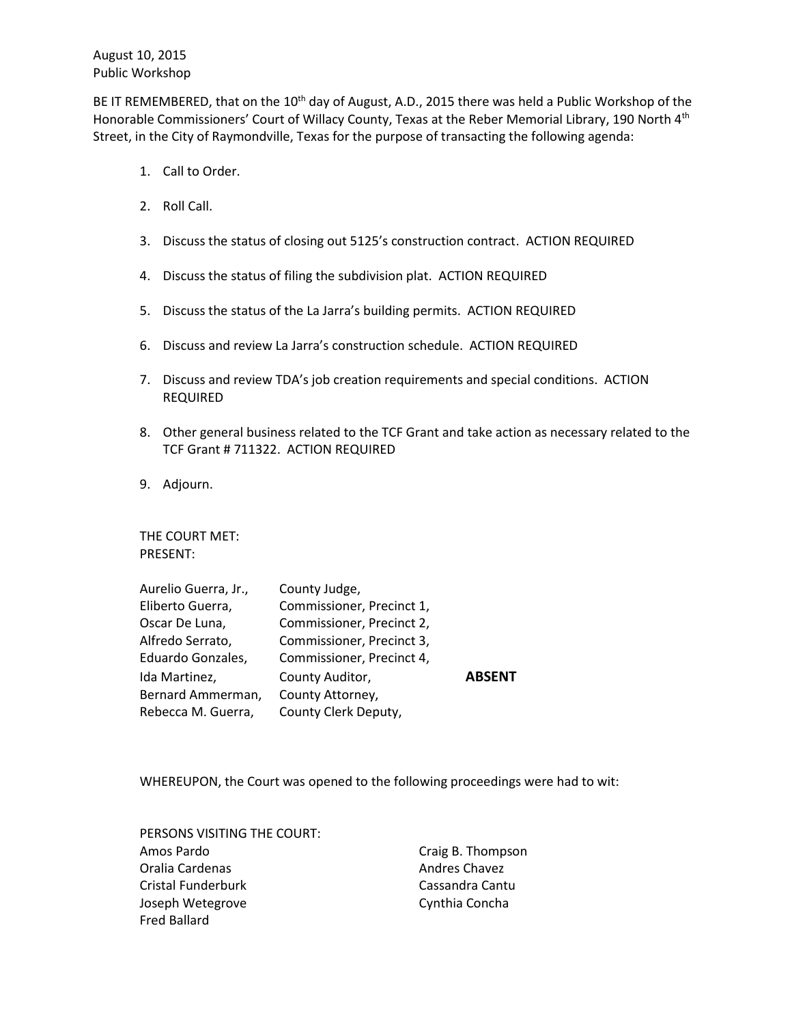August 10, 2015 Public Workshop

BE IT REMEMBERED, that on the 10<sup>th</sup> day of August, A.D., 2015 there was held a Public Workshop of the Honorable Commissioners' Court of Willacy County, Texas at the Reber Memorial Library, 190 North 4<sup>th</sup> Street, in the City of Raymondville, Texas for the purpose of transacting the following agenda:

- 1. Call to Order.
- 2. Roll Call.
- 3. Discuss the status of closing out 5125's construction contract. ACTION REQUIRED
- 4. Discuss the status of filing the subdivision plat. ACTION REQUIRED
- 5. Discuss the status of the La Jarra's building permits. ACTION REQUIRED
- 6. Discuss and review La Jarra's construction schedule. ACTION REQUIRED
- 7. Discuss and review TDA's job creation requirements and special conditions. ACTION REQUIRED
- 8. Other general business related to the TCF Grant and take action as necessary related to the TCF Grant # 711322. ACTION REQUIRED
- 9. Adjourn.

THE COURT MET: PRESENT:

| Aurelio Guerra, Jr., | County Judge,             |               |
|----------------------|---------------------------|---------------|
| Eliberto Guerra,     | Commissioner, Precinct 1, |               |
| Oscar De Luna,       | Commissioner, Precinct 2, |               |
| Alfredo Serrato,     | Commissioner, Precinct 3, |               |
| Eduardo Gonzales,    | Commissioner, Precinct 4, |               |
| Ida Martinez,        | County Auditor,           | <b>ABSENT</b> |
| Bernard Ammerman,    | County Attorney,          |               |
| Rebecca M. Guerra,   | County Clerk Deputy,      |               |

WHEREUPON, the Court was opened to the following proceedings were had to wit:

| PERSONS VISITING THE COURT: |                   |
|-----------------------------|-------------------|
| Amos Pardo                  | Craig B. Thompson |
| Oralia Cardenas             | Andres Chavez     |
| Cristal Funderburk          | Cassandra Cantu   |
| Joseph Wetegrove            | Cynthia Concha    |
| Fred Ballard                |                   |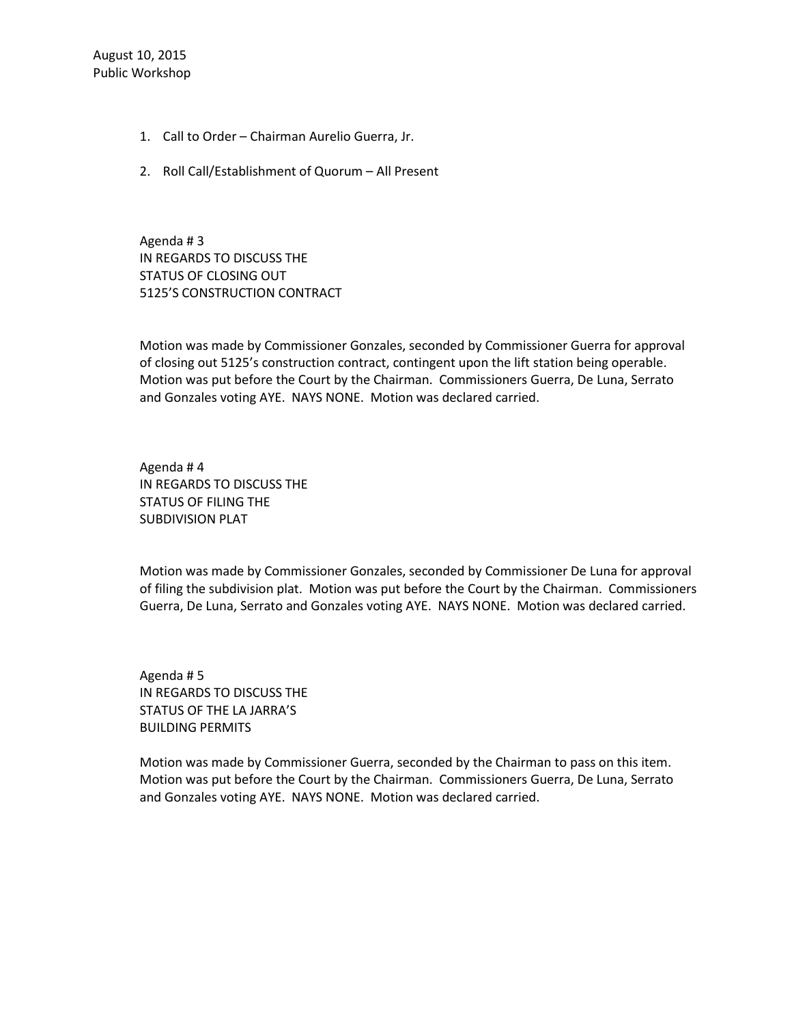- 1. Call to Order Chairman Aurelio Guerra, Jr.
- 2. Roll Call/Establishment of Quorum All Present

Agenda # 3 IN REGARDS TO DISCUSS THE STATUS OF CLOSING OUT 5125'S CONSTRUCTION CONTRACT

Motion was made by Commissioner Gonzales, seconded by Commissioner Guerra for approval of closing out 5125's construction contract, contingent upon the lift station being operable. Motion was put before the Court by the Chairman. Commissioners Guerra, De Luna, Serrato and Gonzales voting AYE. NAYS NONE. Motion was declared carried.

Agenda # 4 IN REGARDS TO DISCUSS THE STATUS OF FILING THE SUBDIVISION PLAT

Motion was made by Commissioner Gonzales, seconded by Commissioner De Luna for approval of filing the subdivision plat. Motion was put before the Court by the Chairman. Commissioners Guerra, De Luna, Serrato and Gonzales voting AYE. NAYS NONE. Motion was declared carried.

Agenda # 5 IN REGARDS TO DISCUSS THE STATUS OF THE LA JARRA'S BUILDING PERMITS

Motion was made by Commissioner Guerra, seconded by the Chairman to pass on this item. Motion was put before the Court by the Chairman. Commissioners Guerra, De Luna, Serrato and Gonzales voting AYE. NAYS NONE. Motion was declared carried.